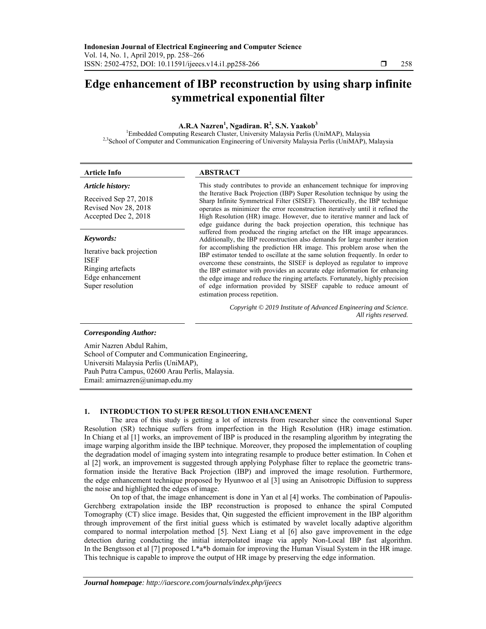# **Edge enhancement of IBP reconstruction by using sharp infinite symmetrical exponential filter**

# $A.R.A Nazeren<sup>1</sup>, Ngadiran. R<sup>2</sup>, S.N. Yaakob<sup>3</sup>$

<sup>1</sup>Embedded Computing Research Cluster, University Malaysia Perlis (UniMAP), Malaysia <sup>2,3</sup>School of Computer and Communication Engineering of University Malaysia Perlis (UniMAP), Malaysia

| Article Info                                                                                                       | ABSTRACT                                                                                                                                                                                                                                                                                                                                                                                                                                                                                                                                                                                                                                                                                                                                           |
|--------------------------------------------------------------------------------------------------------------------|----------------------------------------------------------------------------------------------------------------------------------------------------------------------------------------------------------------------------------------------------------------------------------------------------------------------------------------------------------------------------------------------------------------------------------------------------------------------------------------------------------------------------------------------------------------------------------------------------------------------------------------------------------------------------------------------------------------------------------------------------|
| Article history:<br>Received Sep 27, 2018<br>Revised Nov 28, 2018<br>Accepted Dec 2, 2018                          | This study contributes to provide an enhancement technique for improving<br>the Iterative Back Projection (IBP) Super Resolution technique by using the<br>Sharp Infinite Symmetrical Filter (SISEF). Theoretically, the IBP technique<br>operates as minimizer the error reconstruction iteratively until it refined the<br>High Resolution (HR) image. However, due to iterative manner and lack of                                                                                                                                                                                                                                                                                                                                              |
| Keywords:<br>Iterative back projection<br><b>ISEF</b><br>Ringing artefacts<br>Edge enhancement<br>Super resolution | edge guidance during the back projection operation, this technique has<br>suffered from produced the ringing artefact on the HR image appearances.<br>Additionally, the IBP reconstruction also demands for large number iteration<br>for accomplishing the prediction HR image. This problem arose when the<br>IBP estimator tended to oscillate at the same solution frequently. In order to<br>overcome these constraints, the SISEF is deployed as regulator to improve<br>the IBP estimator with provides an accurate edge information for enhancing<br>the edge image and reduce the ringing artefacts. Fortunately, highly precision<br>of edge information provided by SISEF capable to reduce amount of<br>estimation process repetition. |
|                                                                                                                    | Copyright © 2019 Institute of Advanced Engineering and Science.<br>All rights reserved.                                                                                                                                                                                                                                                                                                                                                                                                                                                                                                                                                                                                                                                            |
| Corresponding Author:                                                                                              |                                                                                                                                                                                                                                                                                                                                                                                                                                                                                                                                                                                                                                                                                                                                                    |

#### *Corresponding Author:*

Amir Nazren Abdul Rahim, School of Computer and Communication Engineering, Universiti Malaysia Perlis (UniMAP), Pauh Putra Campus, 02600 Arau Perlis, Malaysia. Email: amirnazren@unimap.edu.my

## **1. INTRODUCTION TO SUPER RESOLUTION ENHANCEMENT**

The area of this study is getting a lot of interests from researcher since the conventional Super Resolution (SR) technique suffers from imperfection in the High Resolution (HR) image estimation. In Chiang et al [1] works, an improvement of IBP is produced in the resampling algorithm by integrating the image warping algorithm inside the IBP technique. Moreover, they proposed the implementation of coupling the degradation model of imaging system into integrating resample to produce better estimation. In Cohen et al [2] work, an improvement is suggested through applying Polyphase filter to replace the geometric transformation inside the Iterative Back Projection (IBP) and improved the image resolution. Furthermore, the edge enhancement technique proposed by Hyunwoo et al [3] using an Anisotropic Diffusion to suppress the noise and highlighted the edges of image.

On top of that, the image enhancement is done in Yan et al [4] works. The combination of Papoulis-Gerchberg extrapolation inside the IBP reconstruction is proposed to enhance the spiral Computed Tomography (CT) slice image. Besides that, Qin suggested the efficient improvement in the IBP algorithm through improvement of the first initial guess which is estimated by wavelet locally adaptive algorithm compared to normal interpolation method [5]. Next Liang et al [6] also gave improvement in the edge detection during conducting the initial interpolated image via apply Non-Local IBP fast algorithm. In the Bengtsson et al [7] proposed L\*a\*b domain for improving the Human Visual System in the HR image. This technique is capable to improve the output of HR image by preserving the edge information.

j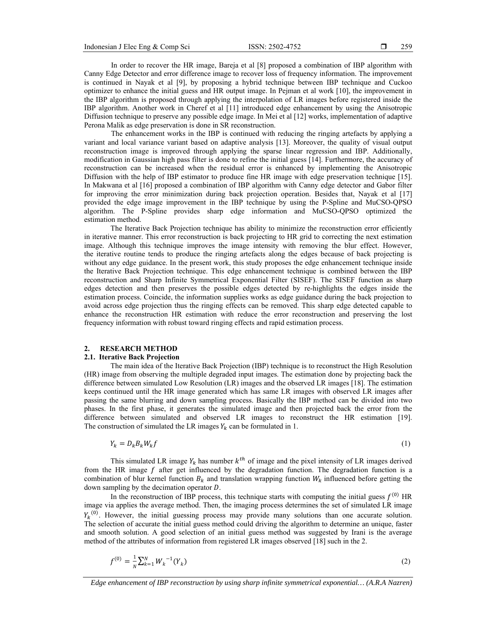In order to recover the HR image, Bareja et al [8] proposed a combination of IBP algorithm with Canny Edge Detector and error difference image to recover loss of frequency information. The improvement is continued in Nayak et al [9], by proposing a hybrid technique between IBP technique and Cuckoo optimizer to enhance the initial guess and HR output image. In Pejman et al work [10], the improvement in the IBP algorithm is proposed through applying the interpolation of LR images before registered inside the IBP algorithm. Another work in Cheref et al [11] introduced edge enhancement by using the Anisotropic Diffusion technique to preserve any possible edge image. In Mei et al [12] works, implementation of adaptive Perona Malik as edge preservation is done in SR reconstruction.

The enhancement works in the IBP is continued with reducing the ringing artefacts by applying a variant and local variance variant based on adaptive analysis [13]. Moreover, the quality of visual output reconstruction image is improved through applying the sparse linear regression and IBP. Additionally, modification in Gaussian high pass filter is done to refine the initial guess [14]. Furthermore, the accuracy of reconstruction can be increased when the residual error is enhanced by implementing the Anisotropic Diffusion with the help of IBP estimator to produce fine HR image with edge preservation technique [15]. In Makwana et al [16] proposed a combination of IBP algorithm with Canny edge detector and Gabor filter for improving the error minimization during back projection operation. Besides that, Nayak et al [17] provided the edge image improvement in the IBP technique by using the P-Spline and MuCSO-QPSO algorithm. The P-Spline provides sharp edge information and MuCSO-QPSO optimized the estimation method.

The Iterative Back Projection technique has ability to minimize the reconstruction error efficiently in iterative manner. This error reconstruction is back projecting to HR grid to correcting the next estimation image. Although this technique improves the image intensity with removing the blur effect. However, the iterative routine tends to produce the ringing artefacts along the edges because of back projecting is without any edge guidance. In the present work, this study proposes the edge enhancement technique inside the Iterative Back Projection technique. This edge enhancement technique is combined between the IBP reconstruction and Sharp Infinite Symmetrical Exponential Filter (SISEF). The SISEF function as sharp edges detection and then preserves the possible edges detected by re-highlights the edges inside the estimation process. Coincide, the information supplies works as edge guidance during the back projection to avoid across edge projection thus the ringing effects can be removed. This sharp edge detected capable to enhance the reconstruction HR estimation with reduce the error reconstruction and preserving the lost frequency information with robust toward ringing effects and rapid estimation process.

## **2. RESEARCH METHOD**

# **2.1. Iterative Back Projection**

The main idea of the Iterative Back Projection (IBP) technique is to reconstruct the High Resolution (HR) image from observing the multiple degraded input images. The estimation done by projecting back the difference between simulated Low Resolution (LR) images and the observed LR images [18]. The estimation keeps continued until the HR image generated which has same LR images with observed LR images after passing the same blurring and down sampling process. Basically the IBP method can be divided into two phases. In the first phase, it generates the simulated image and then projected back the error from the difference between simulated and observed LR images to reconstruct the HR estimation [19]. The construction of simulated the LR images  $Y_k$  can be formulated in 1.

$$
Y_k = D_k B_k W_k f \tag{1}
$$

This simulated LR image  $Y_k$  has number  $k^{th}$  of image and the pixel intensity of LR images derived from the HR image  $f$  after get influenced by the degradation function. The degradation function is a combination of blur kernel function  $B_k$  and translation wrapping function  $W_k$  influenced before getting the down sampling by the decimation operator D.

In the reconstruction of IBP process, this technique starts with computing the initial guess  $f^{(0)}$  HR image via applies the average method. Then, the imaging process determines the set of simulated LR image  $Y_k^{(0)}$ . However, the initial guessing process may provide many solutions than one accurate solution. The selection of accurate the initial guess method could driving the algorithm to determine an unique, faster and smooth solution. A good selection of an initial guess method was suggested by Irani is the average method of the attributes of information from registered LR images observed [18] such in the 2.

$$
f^{(0)} = \frac{1}{N} \sum_{k=1}^{N} W_k^{-1}(Y_k)
$$
 (2)

*Edge enhancement of IBP reconstruction by using sharp infinite symmetrical exponential… (A.R.A Nazren)*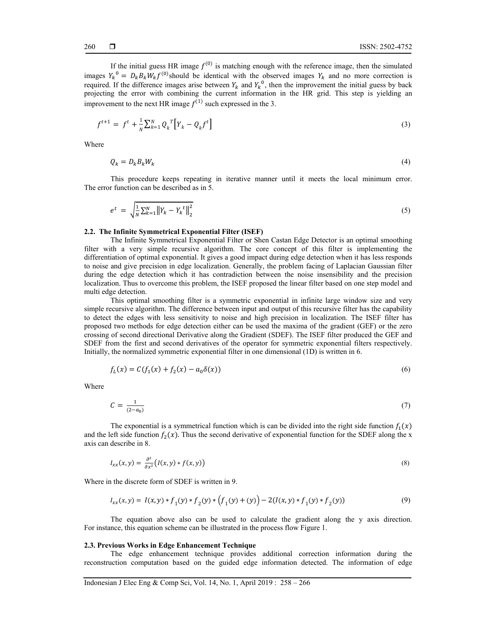If the initial guess HR image  $f^{(0)}$  is matching enough with the reference image, then the simulated images  $Y_k^0 = D_k B_k W_k f^{(0)}$  should be identical with the observed images  $Y_k$  and no more correction is required. If the difference images arise between  $Y_k$  and  $Y_k^0$ , then the improvement the initial guess by back projecting the error with combining the current information in the HR grid. This step is yielding an improvement to the next HR image  $f^{(1)}$  such expressed in the 3.

$$
f^{t+1} = f^t + \frac{1}{N} \sum_{k=1}^N Q_k^T \left[ Y_k - Q_k f^t \right] \tag{3}
$$

Where

$$
Q_k = D_k B_k W_k \tag{4}
$$

This procedure keeps repeating in iterative manner until it meets the local minimum error. The error function can be described as in 5.

$$
e^{t} = \sqrt{\frac{1}{N} \sum_{k=1}^{N} ||Y_{k} - Y_{k}^{t}||_{2}^{2}}
$$
\n(5)

## **2.2. The Infinite Symmetrical Exponential Filter (ISEF)**

The Infinite Symmetrical Exponential Filter or Shen Castan Edge Detector is an optimal smoothing filter with a very simple recursive algorithm. The core concept of this filter is implementing the differentiation of optimal exponential. It gives a good impact during edge detection when it has less responds to noise and give precision in edge localization. Generally, the problem facing of Laplacian Gaussian filter during the edge detection which it has contradiction between the noise insensibility and the precision localization. Thus to overcome this problem, the ISEF proposed the linear filter based on one step model and multi edge detection.

This optimal smoothing filter is a symmetric exponential in infinite large window size and very simple recursive algorithm. The difference between input and output of this recursive filter has the capability to detect the edges with less sensitivity to noise and high precision in localization. The ISEF filter has proposed two methods for edge detection either can be used the maxima of the gradient (GEF) or the zero crossing of second directional Derivative along the Gradient (SDEF). The ISEF filter produced the GEF and SDEF from the first and second derivatives of the operator for symmetric exponential filters respectively. Initially, the normalized symmetric exponential filter in one dimensional (1D) is written in 6.

$$
f_L(x) = C(f_1(x) + f_2(x) - a_0 \delta(x))
$$
\n(6)

Where

$$
C = \frac{1}{(2 - a_0)}\tag{7}
$$

The exponential is a symmetrical function which is can be divided into the right side function  $f_1(x)$ and the left side function  $f_2(x)$ . Thus the second derivative of exponential function for the SDEF along the x axis can describe in 8.

$$
I_{xx}(x,y) = \frac{\partial^2}{\partial x^2} \big( I(x,y) * f(x,y) \big) \tag{8}
$$

Where in the discrete form of SDEF is written in 9.

$$
I_{xx}(x,y) = I(x,y) * f_1(y) * f_2(y) * (f_1(y) + (y)) - 2(I(x,y) * f_1(y) * f_2(y))
$$
\n(9)

The equation above also can be used to calculate the gradient along the y axis direction. For instance, this equation scheme can be illustrated in the process flow Figure 1.

#### **2.3. Previous Works in Edge Enhancement Technique**

The edge enhancement technique provides additional correction information during the reconstruction computation based on the guided edge information detected. The information of edge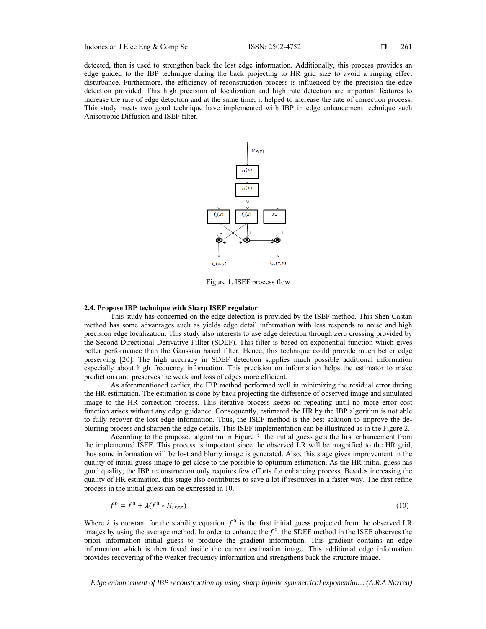detected, then is used to strengthen back the lost edge information. Additionally, this process provides an edge guided to the IBP technique during the back projecting to HR grid size to avoid a ringing effect disturbance. Furthermore, the efficiency of reconstruction process is influenced by the precision the edge detection provided. This high precision of localization and high rate detection are important features to increase the rate of edge detection and at the same time, it helped to increase the rate of correction process. This study meets two good technique have implemented with IBP in edge enhancement technique such Anisotropic Diffusion and ISEF filter.



Figure 1. ISEF process flow

## **2.4. Propose IBP technique with Sharp ISEF regulator**

This study has concerned on the edge detection is provided by the ISEF method. This Shen-Castan method has some advantages such as yields edge detail information with less responds to noise and high precision edge localization. This study also interests to use edge detection through zero crossing provided by the Second Directional Derivative Fillter (SDEF). This filter is based on exponential function which gives better performance than the Gaussian based filter. Hence, this technique could provide much better edge preserving [20]. The high accuracy in SDEF detection supplies much possible additional information especially about high frequency information. This precision on information helps the estimator to make predictions and preserves the weak and loss of edges more efficient.

As aforementioned earlier, the IBP method performed well in minimizing the residual error during the HR estimation. The estimation is done by back projecting the difference of observed image and simulated image to the HR correction process. This iterative process keeps on repeating until no more error cost function arises without any edge guidance. Consequently, estimated the HR by the IBP algorithm is not able to fully recover the lost edge information. Thus, the ISEF method is the best solution to improve the deblurring process and sharpen the edge details. This ISEF implementation can be illustrated as in the Figure 2.

According to the proposed algorithm in Figure 3, the initial guess gets the first enhancement from the implemented ISEF. This process is important since the observed LR will be magnified to the HR grid, thus some information will be lost and blurry image is generated. Also, this stage gives improvement in the quality of initial guess image to get close to the possible to optimum estimation. As the HR initial guess has good quality, the IBP reconstruction only requires few efforts for enhancing process. Besides increasing the quality of HR estimation, this stage also contributes to save a lot if resources in a faster way. The first refine process in the initial guess can be expressed in 10.

$$
f^0 = f^0 + \lambda (f^0 * H_{ISEF}) \tag{10}
$$

Where  $\lambda$  is constant for the stability equation.  $f^0$  is the first initial guess projected from the observed LR images by using the average method. In order to enhance the  $f^0$ , the SDEF method in the ISEF observes the priori information initial guess to produce the gradient information. This gradient contains an edge information which is then fused inside the current estimation image. This additional edge information provides recovering of the weaker frequency information and strengthens back the structure image.

*Edge enhancement of IBP reconstruction by using sharp infinite symmetrical exponential… (A.R.A Nazren)*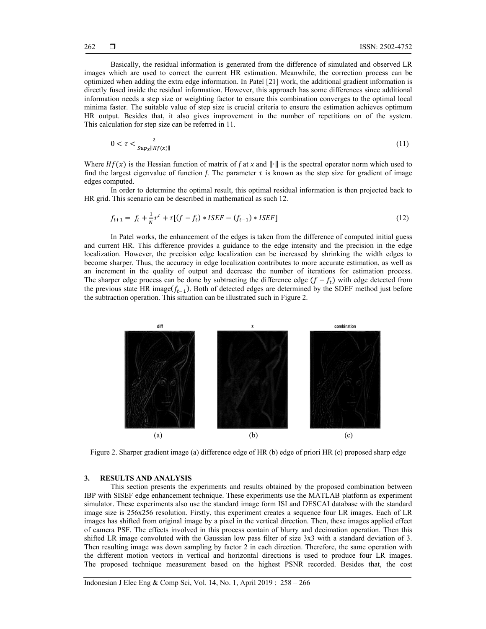Basically, the residual information is generated from the difference of simulated and observed LR images which are used to correct the current HR estimation. Meanwhile, the correction process can be optimized when adding the extra edge information. In Patel [21] work, the additional gradient information is directly fused inside the residual information. However, this approach has some differences since additional information needs a step size or weighting factor to ensure this combination converges to the optimal local minima faster. The suitable value of step size is crucial criteria to ensure the estimation achieves optimum HR output. Besides that, it also gives improvement in the number of repetitions on of the system. This calculation for step size can be referred in 11.

$$
0 < \tau < \frac{2}{\text{sup}_x \|\text{H}f(x)\|} \tag{11}
$$

Where  $Hf(x)$  is the Hessian function of matrix of *f* at *x* and  $\|\cdot\|$  is the spectral operator norm which used to find the largest eigenvalue of function *f*. The parameter  $\tau$  is known as the step size for gradient of image edges computed.

In order to determine the optimal result, this optimal residual information is then projected back to HR grid. This scenario can be described in mathematical as such 12.

$$
f_{t+1} = f_t + \frac{1}{N}r^t + \tau[(f - f_t) * ISEF - (f_{t-1}) * ISEF]
$$
\n(12)

In Patel works, the enhancement of the edges is taken from the difference of computed initial guess and current HR. This difference provides a guidance to the edge intensity and the precision in the edge localization. However, the precision edge localization can be increased by shrinking the width edges to become sharper. Thus, the accuracy in edge localization contributes to more accurate estimation, as well as an increment in the quality of output and decrease the number of iterations for estimation process. The sharper edge process can be done by subtracting the difference edge  $(f - f_t)$  with edge detected from the previous state HR image( $f_{t-1}$ ). Both of detected edges are determined by the SDEF method just before the subtraction operation. This situation can be illustrated such in Figure 2.



Figure 2. Sharper gradient image (a) difference edge of HR (b) edge of priori HR (c) proposed sharp edge

## **3. RESULTS AND ANALYSIS**

This section presents the experiments and results obtained by the proposed combination between IBP with SISEF edge enhancement technique. These experiments use the MATLAB platform as experiment simulator. These experiments also use the standard image form ISI and DESCAI database with the standard image size is 256x256 resolution. Firstly, this experiment creates a sequence four LR images. Each of LR images has shifted from original image by a pixel in the vertical direction. Then, these images applied effect of camera PSF. The effects involved in this process contain of blurry and decimation operation. Then this shifted LR image convoluted with the Gaussian low pass filter of size 3x3 with a standard deviation of 3. Then resulting image was down sampling by factor 2 in each direction. Therefore, the same operation with the different motion vectors in vertical and horizontal directions is used to produce four LR images. The proposed technique measurement based on the highest PSNR recorded. Besides that, the cost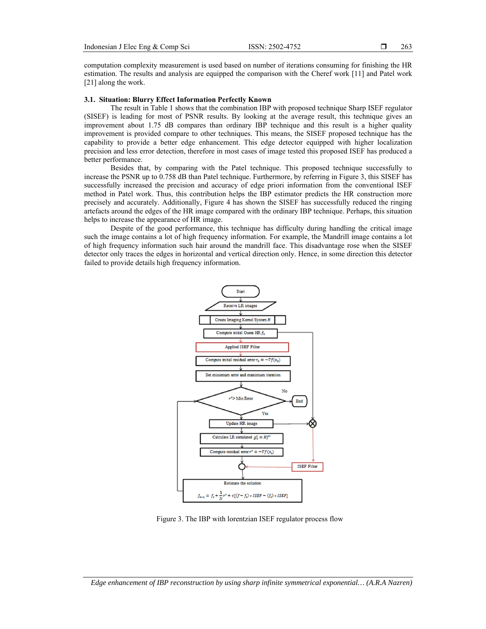computation complexity measurement is used based on number of iterations consuming for finishing the HR estimation. The results and analysis are equipped the comparison with the Cheref work [11] and Patel work [21] along the work.

#### **3.1. Situation: Blurry Effect Information Perfectly Known**

The result in Table 1 shows that the combination IBP with proposed technique Sharp ISEF regulator (SISEF) is leading for most of PSNR results. By looking at the average result, this technique gives an improvement about 1.75 dB compares than ordinary IBP technique and this result is a higher quality improvement is provided compare to other techniques. This means, the SISEF proposed technique has the capability to provide a better edge enhancement. This edge detector equipped with higher localization precision and less error detection, therefore in most cases of image tested this proposed ISEF has produced a better performance.

Besides that, by comparing with the Patel technique. This proposed technique successfully to increase the PSNR up to 0.758 dB than Patel technique. Furthermore, by referring in Figure 3, this SISEF has successfully increased the precision and accuracy of edge priori information from the conventional ISEF method in Patel work. Thus, this contribution helps the IBP estimator predicts the HR construction more precisely and accurately. Additionally, Figure 4 has shown the SISEF has successfully reduced the ringing artefacts around the edges of the HR image compared with the ordinary IBP technique. Perhaps, this situation helps to increase the appearance of HR image.

Despite of the good performance, this technique has difficulty during handling the critical image such the image contains a lot of high frequency information. For example, the Mandrill image contains a lot of high frequency information such hair around the mandrill face. This disadvantage rose when the SISEF detector only traces the edges in horizontal and vertical direction only. Hence, in some direction this detector failed to provide details high frequency information.



Figure 3. The IBP with lorentzian ISEF regulator process flow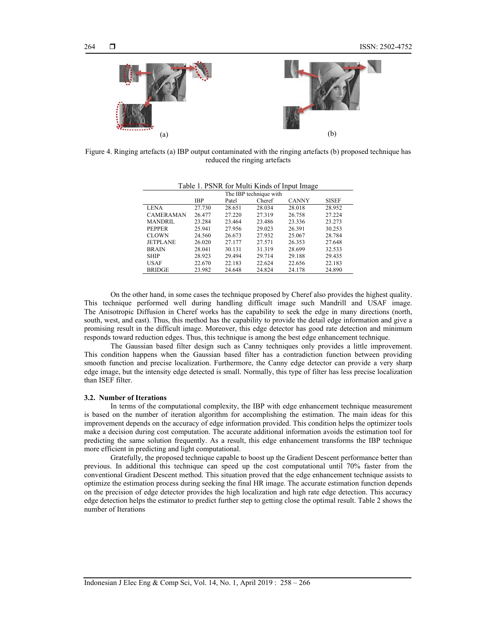

Figure 4. Ringing artefacts (a) IBP output contaminated with the ringing artefacts (b) proposed technique has reduced the ringing artefacts

|                  |        | The IBP technique with |        |              |              |  |
|------------------|--------|------------------------|--------|--------------|--------------|--|
|                  | IBP    | Patel                  | Cheref | <b>CANNY</b> | <b>SISEF</b> |  |
| <b>LENA</b>      | 27.730 | 28.651                 | 28.034 | 28.018       | 28.952       |  |
| <b>CAMERAMAN</b> | 26.477 | 27.220                 | 27.319 | 26.758       | 27.224       |  |
| <b>MANDRIL</b>   | 23.284 | 23.464                 | 23.486 | 23.336       | 23.273       |  |
| <b>PEPPER</b>    | 25.941 | 27.956                 | 29.023 | 26.391       | 30.253       |  |
| <b>CLOWN</b>     | 24.560 | 26.673                 | 27.932 | 25.067       | 28.784       |  |
| <b>JETPLANE</b>  | 26.020 | 27.177                 | 27.571 | 26.353       | 27.648       |  |
| <b>BRAIN</b>     | 28.041 | 30.131                 | 31.319 | 28.699       | 32.533       |  |
| <b>SHIP</b>      | 28.923 | 29.494                 | 29.714 | 29.188       | 29.435       |  |
| <b>USAF</b>      | 22.670 | 22.183                 | 22.624 | 22.656       | 22.183       |  |
| <b>BRIDGE</b>    | 23.982 | 24.648                 | 24.824 | 24.178       | 24.890       |  |

Table 1. PSNR for Multi Kinds of Input Image

On the other hand, in some cases the technique proposed by Cheref also provides the highest quality. This technique performed well during handling difficult image such Mandrill and USAF image. The Anisotropic Diffusion in Cheref works has the capability to seek the edge in many directions (north, south, west, and east). Thus, this method has the capability to provide the detail edge information and give a promising result in the difficult image. Moreover, this edge detector has good rate detection and minimum responds toward reduction edges. Thus, this technique is among the best edge enhancement technique.

The Gaussian based filter design such as Canny techniques only provides a little improvement. This condition happens when the Gaussian based filter has a contradiction function between providing smooth function and precise localization. Furthermore, the Canny edge detector can provide a very sharp edge image, but the intensity edge detected is small. Normally, this type of filter has less precise localization than ISEF filter.

#### **3.2. Number of Iterations**

In terms of the computational complexity, the IBP with edge enhancement technique measurement is based on the number of iteration algorithm for accomplishing the estimation. The main ideas for this improvement depends on the accuracy of edge information provided. This condition helps the optimizer tools make a decision during cost computation. The accurate additional information avoids the estimation tool for predicting the same solution frequently. As a result, this edge enhancement transforms the IBP technique more efficient in predicting and light computational.

Gratefully, the proposed technique capable to boost up the Gradient Descent performance better than previous. In additional this technique can speed up the cost computational until 70% faster from the conventional Gradient Descent method. This situation proved that the edge enhancement technique assists to optimize the estimation process during seeking the final HR image. The accurate estimation function depends on the precision of edge detector provides the high localization and high rate edge detection. This accuracy edge detection helps the estimator to predict further step to getting close the optimal result. Table 2 shows the number of Iterations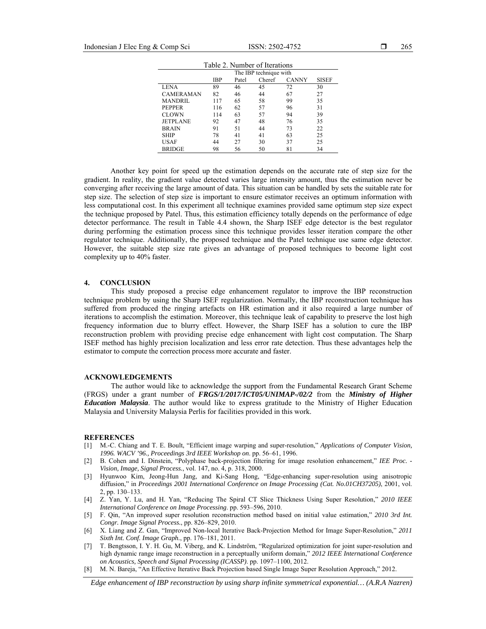| Table 2. Number of Iterations |                        |       |        |              |              |  |  |
|-------------------------------|------------------------|-------|--------|--------------|--------------|--|--|
|                               | The IBP technique with |       |        |              |              |  |  |
|                               | IBP                    | Patel | Cheref | <b>CANNY</b> | <b>SISEF</b> |  |  |
| <b>LENA</b>                   | 89                     | 46    | 45     | 72           | 30           |  |  |
| <b>CAMERAMAN</b>              | 82                     | 46    | 44     | 67           | 27           |  |  |
| <b>MANDRIL</b>                | 117                    | 65    | 58     | 99           | 35           |  |  |
| <b>PEPPER</b>                 | 116                    | 62    | 57     | 96           | 31           |  |  |
| <b>CLOWN</b>                  | 114                    | 63    | 57     | 94           | 39           |  |  |
| <b>JETPLANE</b>               | 92                     | 47    | 48     | 76           | 35           |  |  |
| <b>BRAIN</b>                  | 91                     | 51    | 44     | 73           | 22           |  |  |
| <b>SHIP</b>                   | 78                     | 41    | 41     | 63           | 25           |  |  |
| <b>USAF</b>                   | 44                     | 27    | 30     | 37           | 25           |  |  |
| <b>BRIDGE</b>                 | 98                     | 56    | 50     | 81           | 34           |  |  |

Another key point for speed up the estimation depends on the accurate rate of step size for the gradient. In reality, the gradient value detected varies large intensity amount, thus the estimation never be converging after receiving the large amount of data. This situation can be handled by sets the suitable rate for step size. The selection of step size is important to ensure estimator receives an optimum information with less computational cost. In this experiment all technique examines provided same optimum step size expect the technique proposed by Patel. Thus, this estimation efficiency totally depends on the performance of edge detector performance. The result in Table 4.4 shown, the Sharp ISEF edge detector is the best regulator during performing the estimation process since this technique provides lesser iteration compare the other regulator technique. Additionally, the proposed technique and the Patel technique use same edge detector. However, the suitable step size rate gives an advantage of proposed techniques to become light cost complexity up to 40% faster.

## **4. CONCLUSION**

This study proposed a precise edge enhancement regulator to improve the IBP reconstruction technique problem by using the Sharp ISEF regularization. Normally, the IBP reconstruction technique has suffered from produced the ringing artefacts on HR estimation and it also required a large number of iterations to accomplish the estimation. Moreover, this technique leak of capability to preserve the lost high frequency information due to blurry effect. However, the Sharp ISEF has a solution to cure the IBP reconstruction problem with providing precise edge enhancement with light cost computation. The Sharp ISEF method has highly precision localization and less error rate detection. Thus these advantages help the estimator to compute the correction process more accurate and faster.

#### **ACKNOWLEDGEMENTS**

The author would like to acknowledge the support from the Fundamental Research Grant Scheme (FRGS) under a grant number of *FRGS/1/2017/ICT05/UNIMAP-/02/2* from the *Ministry of Higher Education Malaysia*. The author would like to express gratitude to the Ministry of Higher Education Malaysia and University Malaysia Perlis for facilities provided in this work.

#### **REFERENCES**

- [1] M.-C. Chiang and T. E. Boult, "Efficient image warping and super-resolution," *Applications of Computer Vision, 1996. WACV '96., Proceedings 3rd IEEE Workshop on*. pp. 56–61, 1996.
- [2] B. Cohen and I. Dinstein, "Polyphase back-projection filtering for image resolution enhancement," *IEE Proc. Vision, Image, Signal Process.*, vol. 147, no. 4, p. 318, 2000.
- [3] Hyunwoo Kim, Jeong-Hun Jang, and Ki-Sang Hong, "Edge-enhancing super-resolution using anisotropic diffusion," in *Proceedings 2001 International Conference on Image Processing (Cat. No.01CH37205)*, 2001, vol. 2, pp. 130–133.
- [4] Z. Yan, Y. Lu, and H. Yan, "Reducing The Spiral CT Slice Thickness Using Super Resolution," *2010 IEEE International Conference on Image Processing*. pp. 593–596, 2010.
- [5] F. Qin, "An improved super resolution reconstruction method based on initial value estimation," *2010 3rd Int. Congr. Image Signal Process.*, pp. 826–829, 2010.
- [6] X. Liang and Z. Gan, "Improved Non-local Iterative Back-Projection Method for Image Super-Resolution," *2011 Sixth Int. Conf. Image Graph.*, pp. 176–181, 2011.
- [7] T. Bengtsson, I. Y. H. Gu, M. Viberg, and K. Lindström, "Regularized optimization for joint super-resolution and high dynamic range image reconstruction in a perceptually uniform domain," *2012 IEEE International Conference on Acoustics, Speech and Signal Processing (ICASSP)*. pp. 1097–1100, 2012.
- [8] M. N. Bareja, "An Effective Iterative Back Projection based Single Image Super Resolution Approach," 2012.

*Edge enhancement of IBP reconstruction by using sharp infinite symmetrical exponential… (A.R.A Nazren)*